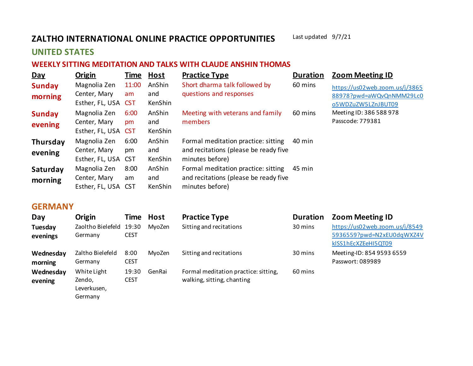## **ZALTHO INTERNATIONAL ONLINE PRACTICE OPPORTUNITIES** Last updated 9/7/21

## **UNITED STATES**

## **WEEKLY SITTING MEDITATION AND TALKS WITH CLAUDE ANSHIN THOMAS**

| <b>Day</b>                 | <b>Origin</b>                                       | Time        | <b>Host</b>              | <b>Practice Type</b>                                                                            | <b>Duration</b> | <b>Zoom Meeting ID</b>                                                           |
|----------------------------|-----------------------------------------------------|-------------|--------------------------|-------------------------------------------------------------------------------------------------|-----------------|----------------------------------------------------------------------------------|
| <b>Sunday</b><br>morning   | Magnolia Zen<br>Center, Mary<br>Esther, FL, USA CST | 11:00<br>am | AnShin<br>and<br>KenShin | Short dharma talk followed by<br>questions and responses                                        | 60 mins         | https://us02web.zoom.us/j/3865<br>88978?pwd=aWQvQnNMM29Lc0<br>o5WDZuZW5LZnJBUT09 |
| <b>Sunday</b><br>evening   | Magnolia Zen<br>Center, Mary<br>Esther, FL, USA CST | 6:00<br>pm  | AnShin<br>and<br>KenShin | Meeting with veterans and family<br>members                                                     | 60 mins         | Meeting ID: 386 588 978<br>Passcode: 779381                                      |
| <b>Thursday</b><br>evening | Magnolia Zen<br>Center, Mary<br>Esther, FL, USA CST | 6:00<br>pm  | AnShin<br>and<br>KenShin | Formal meditation practice: sitting<br>and recitations (please be ready five<br>minutes before) | 40 min          |                                                                                  |
| Saturday<br>morning        | Magnolia Zen<br>Center, Mary<br>Esther, FL, USA CST | 8:00<br>am  | AnShin<br>and<br>KenShin | Formal meditation practice: sitting<br>and recitations (please be ready five<br>minutes before) | 45 min          |                                                                                  |

## **GERMANY**

| Day       | Origin                  | Time Host   |        | <b>Practice Type</b>                 | <b>Duration</b> | <b>Zoom Meeting ID</b>         |
|-----------|-------------------------|-------------|--------|--------------------------------------|-----------------|--------------------------------|
| Tuesday   | Zaoltho Bielefeld 19:30 |             | MvoZen | Sitting and recitations              | 30 mins         | https://us02web.zoom.us/j/8549 |
| evenings  | Germany                 | <b>CEST</b> |        |                                      |                 | 5936559?pwd=N2xEU0dqWXZ4V      |
|           |                         |             |        |                                      |                 | kISS1hEcXZEeHI5QT09            |
| Wednesday | Zaltho Bielefeld        | 8:00        | MvoZen | Sitting and recitations              | 30 mins         | Meeting-ID: 854 9593 6559      |
| morning   | Germany                 | <b>CEST</b> |        |                                      |                 | Passwort: 089989               |
| Wednesday | White Light             | 19:30       | GenRai | Formal meditation practice: sitting, | 60 mins         |                                |
| evening   | Zendo,                  | <b>CEST</b> |        | walking, sitting, chanting           |                 |                                |
|           | Leverkusen,             |             |        |                                      |                 |                                |
|           | Germany                 |             |        |                                      |                 |                                |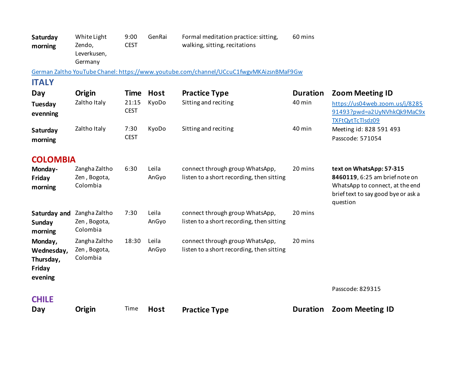| Saturday<br>morning                                                                    | White Light<br>Zendo,<br>Leverkusen,<br>Germany | 9:00<br><b>CEST</b>  | GenRai         | Formal meditation practice: sitting,<br>walking, sitting, recitations        | 60 mins         |                                                                                                                                                  |  |  |
|----------------------------------------------------------------------------------------|-------------------------------------------------|----------------------|----------------|------------------------------------------------------------------------------|-----------------|--------------------------------------------------------------------------------------------------------------------------------------------------|--|--|
| German Zaltho YouTube Chanel: https://www.youtube.com/channel/UCcuC1fwgyMKAizsnBMaF9Gw |                                                 |                      |                |                                                                              |                 |                                                                                                                                                  |  |  |
| <b>ITALY</b>                                                                           |                                                 |                      |                |                                                                              |                 |                                                                                                                                                  |  |  |
| Day                                                                                    | Origin                                          | Time                 | <b>Host</b>    | <b>Practice Type</b>                                                         | <b>Duration</b> | <b>Zoom Meeting ID</b>                                                                                                                           |  |  |
| Tuesday<br>evenning                                                                    | Zaltho Italy                                    | 21:15<br><b>CEST</b> | KyoDo          | Sitting and reciting                                                         | 40 min          | https://us04web.zoom.us/j/8285<br>91493?pwd=a2UyNVhkQk9MaC9x<br><b>TXFtQytTcTlsdz09</b>                                                          |  |  |
| Saturday<br>morning                                                                    | Zaltho Italy                                    | 7:30<br><b>CEST</b>  | KyoDo          | Sitting and reciting                                                         | 40 min          | Meeting id: 828 591 493<br>Passcode: 571054                                                                                                      |  |  |
| <b>COLOMBIA</b>                                                                        |                                                 |                      |                |                                                                              |                 |                                                                                                                                                  |  |  |
| Monday-<br>Friday<br>morning                                                           | Zangha Zaltho<br>Zen, Bogota,<br>Colombia       | 6:30                 | Leila<br>AnGyo | connect through group WhatsApp,<br>listen to a short recording, then sitting | 20 mins         | text on WhatsApp: 57-315<br>8460119, 6:25 am brief note on<br>WhatsApp to connect, at the end<br>brief text to say good bye or ask a<br>question |  |  |
| Saturday and<br><b>Sunday</b><br>morning                                               | Zangha Zaltho<br>Zen, Bogota,<br>Colombia       | 7:30                 | Leila<br>AnGyo | connect through group WhatsApp,<br>listen to a short recording, then sitting | 20 mins         |                                                                                                                                                  |  |  |
| Monday,<br>Wednesday,<br>Thursday,<br>Friday<br>evening                                | Zangha Zaltho<br>Zen, Bogota,<br>Colombia       | 18:30                | Leila<br>AnGyo | connect through group WhatsApp,<br>listen to a short recording, then sitting | 20 mins         | Passcode: 829315                                                                                                                                 |  |  |
| <b>CHILE</b>                                                                           |                                                 |                      |                |                                                                              |                 |                                                                                                                                                  |  |  |
| Day                                                                                    | Origin                                          | Time                 | <b>Host</b>    | <b>Practice Type</b>                                                         | <b>Duration</b> | <b>Zoom Meeting ID</b>                                                                                                                           |  |  |